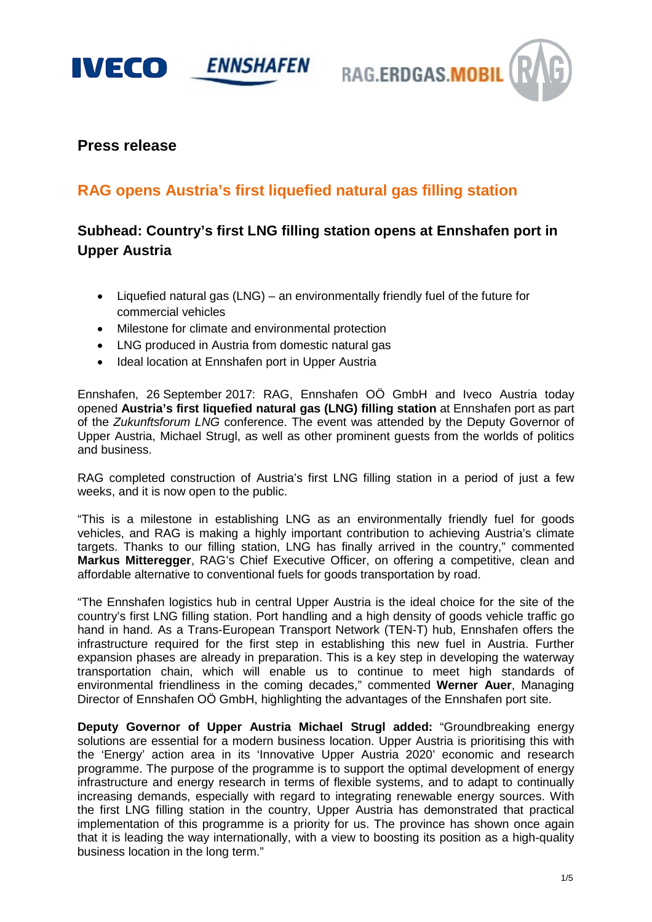

RAG.ERDGAS.MOBIL

# **Press release**

# **RAG opens Austria's first liquefied natural gas filling station**

# **Subhead: Country's first LNG filling station opens at Ennshafen port in Upper Austria**

- Liquefied natural gas (LNG) an environmentally friendly fuel of the future for commercial vehicles
- Milestone for climate and environmental protection
- LNG produced in Austria from domestic natural gas
- Ideal location at Ennshafen port in Upper Austria

Ennshafen, 26 September 2017: RAG, Ennshafen OÖ GmbH and Iveco Austria today opened **Austria's first liquefied natural gas (LNG) filling station** at Ennshafen port as part of the *Zukunftsforum LNG* conference. The event was attended by the Deputy Governor of Upper Austria, Michael Strugl, as well as other prominent guests from the worlds of politics and business.

RAG completed construction of Austria's first LNG filling station in a period of just a few weeks, and it is now open to the public.

"This is a milestone in establishing LNG as an environmentally friendly fuel for goods vehicles, and RAG is making a highly important contribution to achieving Austria's climate targets. Thanks to our filling station, LNG has finally arrived in the country," commented **Markus Mitteregger**, RAG's Chief Executive Officer, on offering a competitive, clean and affordable alternative to conventional fuels for goods transportation by road.

"The Ennshafen logistics hub in central Upper Austria is the ideal choice for the site of the country's first LNG filling station. Port handling and a high density of goods vehicle traffic go hand in hand. As a Trans-European Transport Network (TEN-T) hub, Ennshafen offers the infrastructure required for the first step in establishing this new fuel in Austria. Further expansion phases are already in preparation. This is a key step in developing the waterway transportation chain, which will enable us to continue to meet high standards of environmental friendliness in the coming decades," commented **Werner Auer**, Managing Director of Ennshafen OÖ GmbH, highlighting the advantages of the Ennshafen port site.

**Deputy Governor of Upper Austria Michael Strugl added:** "Groundbreaking energy solutions are essential for a modern business location. Upper Austria is prioritising this with the 'Energy' action area in its 'Innovative Upper Austria 2020' economic and research programme. The purpose of the programme is to support the optimal development of energy infrastructure and energy research in terms of flexible systems, and to adapt to continually increasing demands, especially with regard to integrating renewable energy sources. With the first LNG filling station in the country, Upper Austria has demonstrated that practical implementation of this programme is a priority for us. The province has shown once again that it is leading the way internationally, with a view to boosting its position as a high-quality business location in the long term."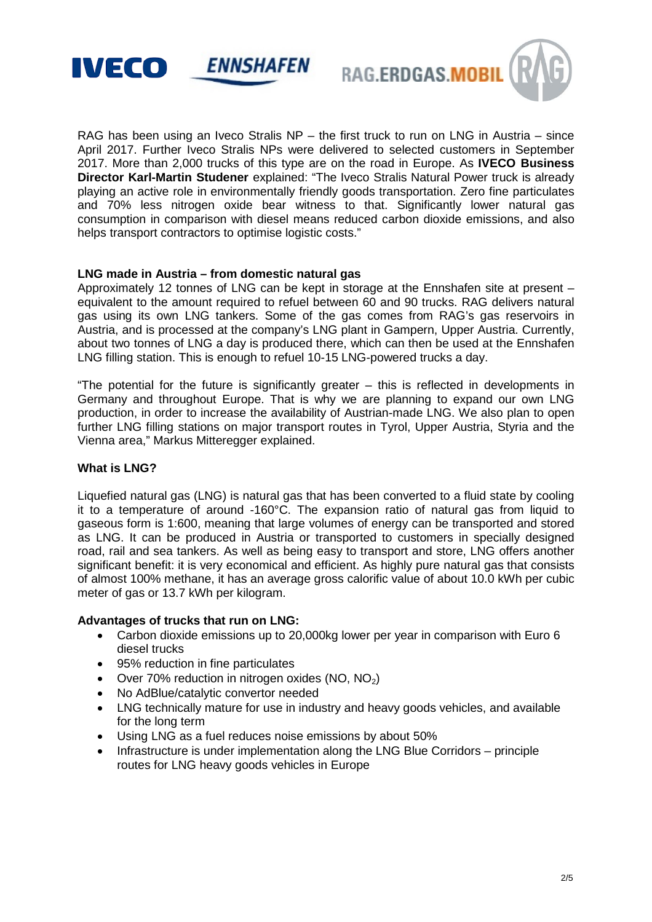



RAG has been using an Iveco Stralis NP – the first truck to run on LNG in Austria – since April 2017. Further Iveco Stralis NPs were delivered to selected customers in September 2017. More than 2,000 trucks of this type are on the road in Europe. As **IVECO Business Director Karl-Martin Studener** explained: "The Iveco Stralis Natural Power truck is already playing an active role in environmentally friendly goods transportation. Zero fine particulates and 70% less nitrogen oxide bear witness to that. Significantly lower natural gas consumption in comparison with diesel means reduced carbon dioxide emissions, and also helps transport contractors to optimise logistic costs."

#### **LNG made in Austria – from domestic natural gas**

Approximately 12 tonnes of LNG can be kept in storage at the Ennshafen site at present – equivalent to the amount required to refuel between 60 and 90 trucks. RAG delivers natural gas using its own LNG tankers. Some of the gas comes from RAG's gas reservoirs in Austria, and is processed at the company's LNG plant in Gampern, Upper Austria. Currently, about two tonnes of LNG a day is produced there, which can then be used at the Ennshafen LNG filling station. This is enough to refuel 10-15 LNG-powered trucks a day.

"The potential for the future is significantly greater – this is reflected in developments in Germany and throughout Europe. That is why we are planning to expand our own LNG production, in order to increase the availability of Austrian-made LNG. We also plan to open further LNG filling stations on major transport routes in Tyrol, Upper Austria, Styria and the Vienna area," Markus Mitteregger explained.

#### **What is LNG?**

Liquefied natural gas (LNG) is natural gas that has been converted to a fluid state by cooling it to a temperature of around -160°C. The expansion ratio of natural gas from liquid to gaseous form is 1:600, meaning that large volumes of energy can be transported and stored as LNG. It can be produced in Austria or transported to customers in specially designed road, rail and sea tankers. As well as being easy to transport and store, LNG offers another significant benefit: it is very economical and efficient. As highly pure natural gas that consists of almost 100% methane, it has an average gross calorific value of about 10.0 kWh per cubic meter of gas or 13.7 kWh per kilogram.

#### **Advantages of trucks that run on LNG:**

- Carbon dioxide emissions up to 20,000kg lower per year in comparison with Euro 6 diesel trucks
- 95% reduction in fine particulates
- Over 70% reduction in nitrogen oxides (NO,  $NO<sub>2</sub>$ )
- No AdBlue/catalytic convertor needed
- LNG technically mature for use in industry and heavy goods vehicles, and available for the long term
- Using LNG as a fuel reduces noise emissions by about 50%
- Infrastructure is under implementation along the LNG Blue Corridors principle routes for LNG heavy goods vehicles in Europe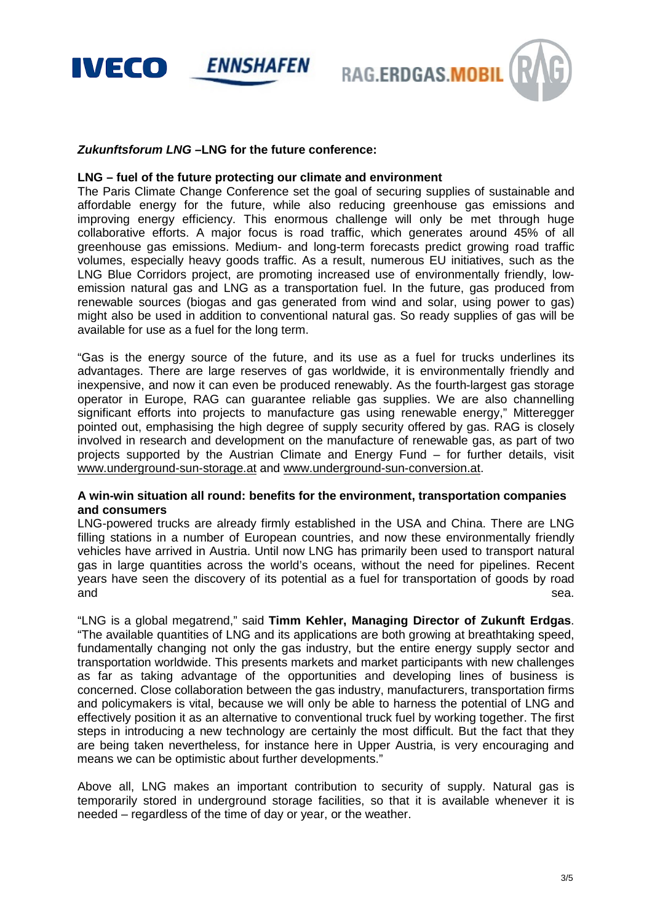

RAG.ERDGAS.MOBIL

#### *Zukunftsforum LNG –***LNG for the future conference:**

#### **LNG – fuel of the future protecting our climate and environment**

The Paris Climate Change Conference set the goal of securing supplies of sustainable and affordable energy for the future, while also reducing greenhouse gas emissions and improving energy efficiency. This enormous challenge will only be met through huge collaborative efforts. A major focus is road traffic, which generates around 45% of all greenhouse gas emissions. Medium- and long-term forecasts predict growing road traffic volumes, especially heavy goods traffic. As a result, numerous EU initiatives, such as the LNG Blue Corridors project, are promoting increased use of environmentally friendly, lowemission natural gas and LNG as a transportation fuel. In the future, gas produced from renewable sources (biogas and gas generated from wind and solar, using power to gas) might also be used in addition to conventional natural gas. So ready supplies of gas will be available for use as a fuel for the long term.

"Gas is the energy source of the future, and its use as a fuel for trucks underlines its advantages. There are large reserves of gas worldwide, it is environmentally friendly and inexpensive, and now it can even be produced renewably. As the fourth-largest gas storage operator in Europe, RAG can guarantee reliable gas supplies. We are also channelling significant efforts into projects to manufacture gas using renewable energy," Mitteregger pointed out, emphasising the high degree of supply security offered by gas. RAG is closely involved in research and development on the manufacture of renewable gas, as part of two projects supported by the Austrian Climate and Energy Fund – for further details, visit [www.underground-sun-storage.at](http://www.underground-sun-storage.at/) and [www.underground-sun-conversion.at.](http://www.underground-sun-conversion.at/)

## **A win-win situation all round: benefits for the environment, transportation companies and consumers**

LNG-powered trucks are already firmly established in the USA and China. There are LNG filling stations in a number of European countries, and now these environmentally friendly vehicles have arrived in Austria. Until now LNG has primarily been used to transport natural gas in large quantities across the world's oceans, without the need for pipelines. Recent years have seen the discovery of its potential as a fuel for transportation of goods by road and sea.

"LNG is a global megatrend," said **Timm Kehler, Managing Director of Zukunft Erdgas**. "The available quantities of LNG and its applications are both growing at breathtaking speed, fundamentally changing not only the gas industry, but the entire energy supply sector and transportation worldwide. This presents markets and market participants with new challenges as far as taking advantage of the opportunities and developing lines of business is concerned. Close collaboration between the gas industry, manufacturers, transportation firms and policymakers is vital, because we will only be able to harness the potential of LNG and effectively position it as an alternative to conventional truck fuel by working together. The first steps in introducing a new technology are certainly the most difficult. But the fact that they are being taken nevertheless, for instance here in Upper Austria, is very encouraging and means we can be optimistic about further developments."

Above all, LNG makes an important contribution to security of supply. Natural gas is temporarily stored in underground storage facilities, so that it is available whenever it is needed – regardless of the time of day or year, or the weather.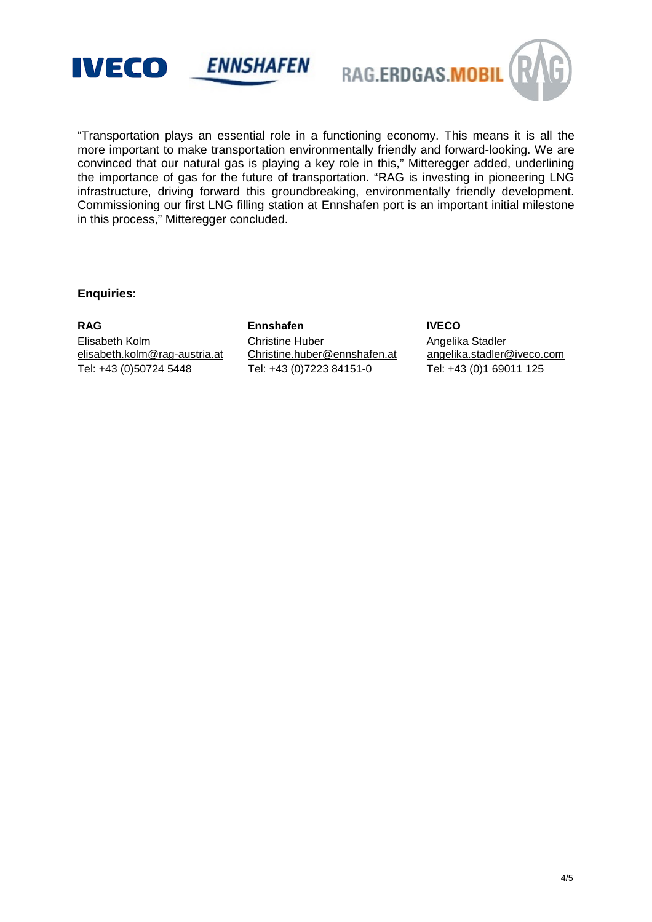





"Transportation plays an essential role in a functioning economy. This means it is all the more important to make transportation environmentally friendly and forward-looking. We are convinced that our natural gas is playing a key role in this," Mitteregger added, underlining the importance of gas for the future of transportation. "RAG is investing in pioneering LNG infrastructure, driving forward this groundbreaking, environmentally friendly development. Commissioning our first LNG filling station at Ennshafen port is an important initial milestone in this process," Mitteregger concluded.

## **Enquiries:**

**RAG Ennshafen IVECO** Elisabeth Kolm Christine Huber Angelika Stadler<br>
elisabeth.kolm@rag-austria.at Christine.huber@ennshafen.at angelika.stadler@iveco.com [elisabeth.kolm@rag-austria.at](mailto:elisabeth.kolm@rag-austria.at) Tel: +43 (0)50724 5448 Tel: +43 (0)7223 84151-0 Tel: +43 (0)1 69011 125